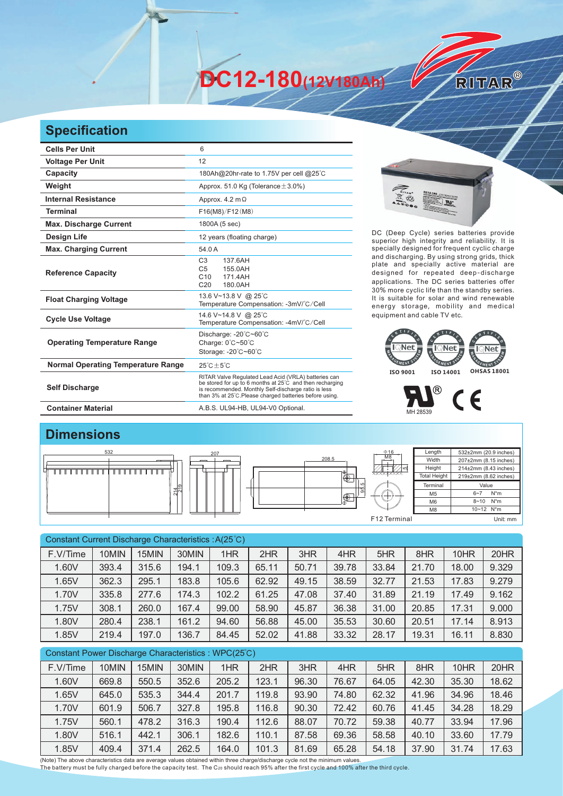**DC12-180(12V180Ah)** 

## **Specification**

| <b>Cells Per Unit</b>                     | 6                                                                                                                                                                                                                                  |
|-------------------------------------------|------------------------------------------------------------------------------------------------------------------------------------------------------------------------------------------------------------------------------------|
| <b>Voltage Per Unit</b>                   | 12                                                                                                                                                                                                                                 |
| Capacity                                  | 180Ah@20hr-rate to 1.75V per cell @25°C                                                                                                                                                                                            |
| Weight                                    | Approx. 51.0 Kg (Tolerance $\pm$ 3.0%)                                                                                                                                                                                             |
| <b>Internal Resistance</b>                | Approx. $4.2 \text{ m}\Omega$                                                                                                                                                                                                      |
| <b>Terminal</b>                           | F16(M8)/F12(M8)                                                                                                                                                                                                                    |
| <b>Max. Discharge Current</b>             | 1800A (5 sec)                                                                                                                                                                                                                      |
| <b>Design Life</b>                        | 12 years (floating charge)                                                                                                                                                                                                         |
| <b>Max. Charging Current</b>              | 54.0 A                                                                                                                                                                                                                             |
| <b>Reference Capacity</b>                 | C <sub>3</sub><br>137.6AH<br>C <sub>5</sub><br>155.0AH<br>C <sub>10</sub><br>171 4AH<br>C <sub>20</sub><br>180.0AH                                                                                                                 |
| <b>Float Charging Voltage</b>             | 13.6 V~13.8 V @ 25°C<br>Temperature Compensation: -3mV/°C/Cell                                                                                                                                                                     |
| <b>Cycle Use Voltage</b>                  | 14.6 V~14.8 V @ 25°C<br>Temperature Compensation: -4mV/°C/Cell                                                                                                                                                                     |
| <b>Operating Temperature Range</b>        | Discharge: -20°C~60°C<br>Charge: 0°C~50°C<br>Storage: -20°C~60°C                                                                                                                                                                   |
| <b>Normal Operating Temperature Range</b> | $25^{\circ}$ C + 5 $^{\circ}$ C                                                                                                                                                                                                    |
| <b>Self Discharge</b>                     | RITAR Valve Regulated Lead Acid (VRLA) batteries can<br>be stored for up to 6 months at 25°C and then recharging<br>is recommended. Monthly Self-discharge ratio is less<br>than 3% at 25°C.Please charged batteries before using. |
| <b>Container Material</b>                 | A.B.S. UL94-HB, UL94-V0 Optional.                                                                                                                                                                                                  |



RITAR®

DC (Deep Cycle) series batteries provide superior high integrity and reliability. It is specially designed for frequent cyclic charge and discharging. By using strong grids, thick plate and specially active material are designed for repeated deep-discharge applications. The DC series batteries offer 30% more cyclic life than the standby series. It is suitable for solar and wind renewable energy storage, mobility and medical equipment and cable TV etc.





## **Dimensions**



| Constant Current Discharge Characteristics : A(25°C) |       |       |       |       |       |       |       |       |       |       |       |
|------------------------------------------------------|-------|-------|-------|-------|-------|-------|-------|-------|-------|-------|-------|
| F.V/Time                                             | 10MIN | 15MIN | 30MIN | 1HR   | 2HR   | 3HR   | 4HR   | 5HR   | 8HR   | 10HR  | 20HR  |
| 1.60V                                                | 393.4 | 315.6 | 194.1 | 109.3 | 65.11 | 50.71 | 39.78 | 33.84 | 21.70 | 18.00 | 9.329 |
| 1.65V                                                | 362.3 | 295.1 | 183.8 | 105.6 | 62.92 | 49.15 | 38.59 | 32.77 | 21.53 | 17.83 | 9.279 |
| 1.70V                                                | 335.8 | 277.6 | 174.3 | 102.2 | 61.25 | 47.08 | 37.40 | 31.89 | 21.19 | 17.49 | 9.162 |
| 1.75V                                                | 308.1 | 260.0 | 167.4 | 99.00 | 58.90 | 45.87 | 36.38 | 31.00 | 20.85 | 17.31 | 9.000 |
| 1.80V                                                | 280.4 | 238.1 | 161.2 | 94.60 | 56.88 | 45.00 | 35.53 | 30.60 | 20.51 | 17.14 | 8.913 |
| 1.85V                                                | 219.4 | 197.0 | 136.7 | 84.45 | 52.02 | 41.88 | 33.32 | 28.17 | 19.31 | 16.11 | 8.830 |
| Constant Power Discharge Characteristics: WPC(25°C)  |       |       |       |       |       |       |       |       |       |       |       |

| F.V/Time | 10MIN | 15MIN | 30MIN | 1HR   | 2HR   | 3HR   | 4HR   | 5HR   | 8HR   | 10HR  | 20HR  |
|----------|-------|-------|-------|-------|-------|-------|-------|-------|-------|-------|-------|
| 1.60V    | 669.8 | 550.5 | 352.6 | 205.2 | 123.1 | 96.30 | 76.67 | 64.05 | 42.30 | 35.30 | 18.62 |
| 1.65V    | 645.0 | 535.3 | 344.4 | 201.7 | 119.8 | 93.90 | 74.80 | 62.32 | 41.96 | 34.96 | 18.46 |
| 1.70V    | 601.9 | 506.7 | 327.8 | 195.8 | 116.8 | 90.30 | 72.42 | 60.76 | 41.45 | 34.28 | 18.29 |
| 1.75V    | 560.1 | 478.2 | 316.3 | 190.4 | 112.6 | 88.07 | 70.72 | 59.38 | 40.77 | 33.94 | 17.96 |
| 1.80V    | 516.1 | 442.1 | 306.1 | 182.6 | 110.1 | 87.58 | 69.36 | 58.58 | 40.10 | 33.60 | 17.79 |
| 1.85V    | 409.4 | 371.4 | 262.5 | 164.0 | 101.3 | 81.69 | 65.28 | 54.18 | 37.90 | 31.74 | 17.63 |

(Note) The above characteristics data are average values obtained within three charge/discharge cycle not the minimum values.<br>The battery must be fully charged before the capacity test. The C20 should reach 95% after the